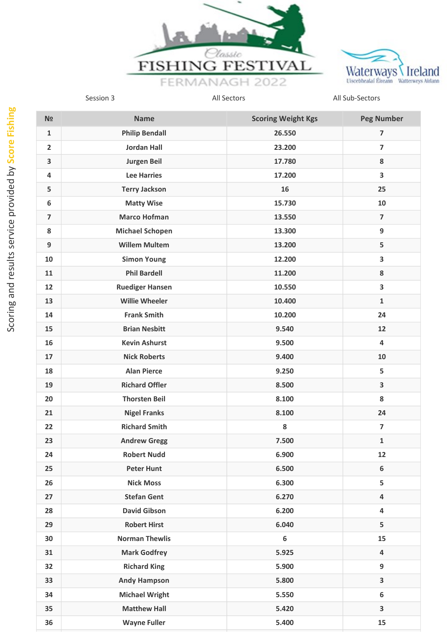



| N <sub>2</sub>          | <b>Name</b>            | <b>Scoring Weight Kgs</b> | <b>Peg Number</b>        |
|-------------------------|------------------------|---------------------------|--------------------------|
| $\mathbf{1}$            | <b>Philip Bendall</b>  | 26.550                    | 7                        |
| $\overline{\mathbf{2}}$ | <b>Jordan Hall</b>     | 23.200                    | $\overline{\mathbf{z}}$  |
| 3                       | <b>Jurgen Beil</b>     | 17.780                    | 8                        |
| 4                       | <b>Lee Harries</b>     | 17.200                    | 3                        |
| 5                       | <b>Terry Jackson</b>   | 16                        | 25                       |
| 6                       | <b>Matty Wise</b>      | 15.730                    | 10                       |
| $\overline{7}$          | <b>Marco Hofman</b>    | 13.550                    | $\overline{\phantom{a}}$ |
| 8                       | <b>Michael Schopen</b> | 13.300                    | 9                        |
| 9                       | <b>Willem Multem</b>   | 13.200                    | 5                        |
| 10                      | <b>Simon Young</b>     | 12.200                    | 3                        |
| 11                      | <b>Phil Bardell</b>    | 11.200                    | 8                        |
| 12                      | <b>Ruediger Hansen</b> | 10.550                    | 3                        |
| 13                      | <b>Willie Wheeler</b>  | 10.400                    | $\mathbf{1}$             |
| 14                      | <b>Frank Smith</b>     | 10.200                    | 24                       |
| 15                      | <b>Brian Nesbitt</b>   | 9.540                     | 12                       |
| 16                      | <b>Kevin Ashurst</b>   | 9.500                     | $\overline{\mathbf{4}}$  |
| 17                      | <b>Nick Roberts</b>    | 9.400                     | 10                       |
| 18                      | <b>Alan Pierce</b>     | 9.250                     | 5                        |
| 19                      | <b>Richard Offler</b>  | 8.500                     | $\overline{\mathbf{3}}$  |
| 20                      | <b>Thorsten Beil</b>   | 8.100                     | 8                        |
| 21                      | <b>Nigel Franks</b>    | 8.100                     | 24                       |
| 22                      | <b>Richard Smith</b>   | 8                         | $\overline{7}$           |
| 23                      | <b>Andrew Gregg</b>    | 7.500                     | $\mathbf 1$              |
| 24                      | <b>Robert Nudd</b>     | 6.900                     | 12                       |
| 25                      | <b>Peter Hunt</b>      | 6.500                     | 6                        |
| 26                      | <b>Nick Moss</b>       | 6.300                     | 5                        |
| 27                      | <b>Stefan Gent</b>     | 6.270                     | $\overline{\mathbf{4}}$  |
| 28                      | <b>David Gibson</b>    | 6.200                     | $\overline{\mathbf{4}}$  |
| 29                      | <b>Robert Hirst</b>    | 6.040                     | 5                        |
| 30                      | <b>Norman Thewlis</b>  | $\boldsymbol{6}$          | 15                       |
| 31                      | <b>Mark Godfrey</b>    | 5.925                     | 4                        |
| 32                      | <b>Richard King</b>    | 5.900                     | 9                        |
| 33                      | <b>Andy Hampson</b>    | 5.800                     | $\overline{\mathbf{3}}$  |
| 34                      | <b>Michael Wright</b>  | 5.550                     | 6                        |
| 35                      | <b>Matthew Hall</b>    | 5.420                     | $\overline{\mathbf{3}}$  |
| 36                      | <b>Wayne Fuller</b>    | 5.400                     | 15                       |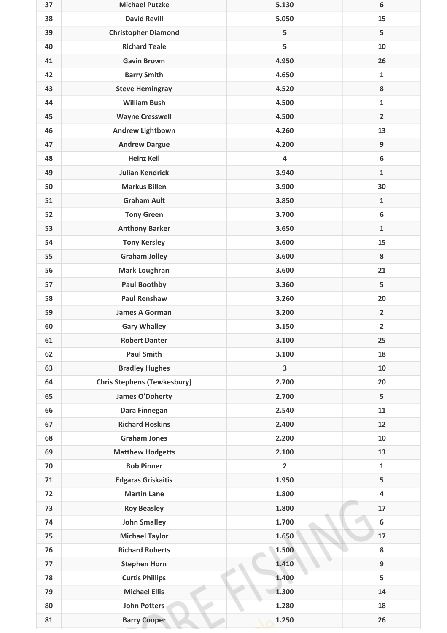| 37 | <b>Michael Putzke</b>              | 5.130                   | 6                |
|----|------------------------------------|-------------------------|------------------|
| 38 | <b>David Revill</b>                | 5.050                   | 15               |
| 39 | <b>Christopher Diamond</b>         | 5                       | 5                |
| 40 | <b>Richard Teale</b>               | 5                       | 10               |
| 41 | <b>Gavin Brown</b>                 | 4.950                   | 26               |
| 42 | <b>Barry Smith</b>                 | 4.650                   | $\mathbf{1}$     |
| 43 | <b>Steve Hemingray</b>             | 4.520                   | ${\bf 8}$        |
| 44 | <b>William Bush</b>                | 4.500                   | $\mathbf{1}$     |
| 45 | <b>Wayne Cresswell</b>             | 4.500                   | $\overline{2}$   |
| 46 | <b>Andrew Lightbown</b>            | 4.260                   | 13               |
| 47 | <b>Andrew Dargue</b>               | 4.200                   | 9                |
| 48 | <b>Heinz Keil</b>                  | $\overline{\mathbf{4}}$ | $\boldsymbol{6}$ |
| 49 | <b>Julian Kendrick</b>             | 3.940                   | $\mathbf 1$      |
| 50 | <b>Markus Billen</b>               | 3.900                   | 30               |
| 51 | <b>Graham Ault</b>                 | 3.850                   | $\mathbf 1$      |
| 52 | <b>Tony Green</b>                  | 3.700                   | $\boldsymbol{6}$ |
| 53 | <b>Anthony Barker</b>              | 3.650                   | $\mathbf 1$      |
| 54 | <b>Tony Kersley</b>                | 3.600                   | 15               |
| 55 | <b>Graham Jolley</b>               | 3.600                   | 8                |
| 56 | <b>Mark Loughran</b>               | 3.600                   | 21               |
| 57 | <b>Paul Boothby</b>                | 3.360                   | 5                |
| 58 | <b>Paul Renshaw</b>                | 3.260                   | 20               |
| 59 | <b>James A Gorman</b>              | 3.200                   | $\overline{2}$   |
| 60 | <b>Gary Whalley</b>                | 3.150                   | $\overline{2}$   |
| 61 | <b>Robert Danter</b>               | 3.100                   | 25               |
| 62 | <b>Paul Smith</b>                  | 3.100                   | 18               |
| 63 | <b>Bradley Hughes</b>              | 3                       | 10               |
| 64 | <b>Chris Stephens (Tewkesbury)</b> | 2.700                   | 20               |
| 65 | <b>James O'Doherty</b>             | 2.700                   | 5                |
| 66 | Dara Finnegan                      | 2.540                   | 11               |
| 67 | <b>Richard Hoskins</b>             | 2.400                   | 12               |
| 68 | <b>Graham Jones</b>                | 2.200                   | 10               |
| 69 | <b>Matthew Hodgetts</b>            | 2.100                   | 13               |
| 70 | <b>Bob Pinner</b>                  | $\overline{2}$          | $\mathbf{1}$     |
| 71 | <b>Edgaras Griskaitis</b>          | 1.950                   | 5                |
| 72 | <b>Martin Lane</b>                 | 1.800                   | 4                |
| 73 | <b>Roy Beasley</b>                 | 1.800                   | 17               |
| 74 | <b>John Smalley</b>                | 1.700                   | 6                |
| 75 | <b>Michael Taylor</b>              | 1.650                   | 17               |
| 76 | <b>Richard Roberts</b>             | 1.500                   | 8                |
| 77 | <b>Stephen Horn</b>                | 1.410                   | 9                |
| 78 | <b>Curtis Phillips</b>             | 1.400                   | 5                |
| 79 | <b>Michael Ellis</b>               | 1.300                   | 14               |
| 80 | John Potters                       | 1.280                   | 18               |
| 81 | <b>Barry Cooper</b>                | 1.250                   | 26               |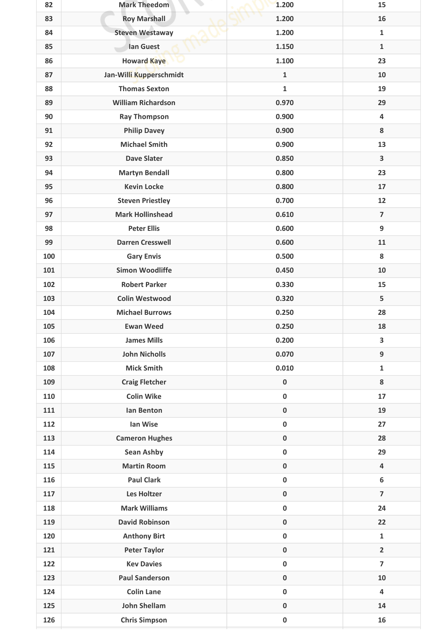| 82  | <b>Mark Theedom</b>       | 1.200        | 15                      |
|-----|---------------------------|--------------|-------------------------|
| 83  | <b>Roy Marshall</b>       | 1.200        | 16                      |
| 84  | <b>Steven Westaway</b>    | 1.200        | $\mathbf{1}$            |
| 85  | lan Guest                 | 1.150        | $\mathbf{1}$            |
| 86  | <b>Howard Kaye</b>        | 1.100        | 23                      |
| 87  | Jan-Willi Kupperschmidt   | $\mathbf{1}$ | 10                      |
| 88  | <b>Thomas Sexton</b>      | 1            | 19                      |
| 89  | <b>William Richardson</b> | 0.970        | 29                      |
| 90  | <b>Ray Thompson</b>       | 0.900        | 4                       |
| 91  | <b>Philip Davey</b>       | 0.900        | 8                       |
| 92  | <b>Michael Smith</b>      | 0.900        | 13                      |
| 93  | <b>Dave Slater</b>        | 0.850        | 3                       |
| 94  | <b>Martyn Bendall</b>     | 0.800        | 23                      |
| 95  | <b>Kevin Locke</b>        | 0.800        | 17                      |
| 96  | <b>Steven Priestley</b>   | 0.700        | 12                      |
| 97  | <b>Mark Hollinshead</b>   | 0.610        | $\overline{7}$          |
| 98  | <b>Peter Ellis</b>        | 0.600        | $\boldsymbol{9}$        |
| 99  | <b>Darren Cresswell</b>   | 0.600        | 11                      |
| 100 | <b>Gary Envis</b>         | 0.500        | 8                       |
| 101 | <b>Simon Woodliffe</b>    | 0.450        | 10                      |
| 102 | <b>Robert Parker</b>      | 0.330        | 15                      |
| 103 | <b>Colin Westwood</b>     | 0.320        | 5                       |
| 104 | <b>Michael Burrows</b>    | 0.250        | 28                      |
| 105 | <b>Ewan Weed</b>          | 0.250        | 18                      |
| 106 | <b>James Mills</b>        | 0.200        | 3                       |
| 107 | <b>John Nicholls</b>      | 0.070        | 9                       |
| 108 | <b>Mick Smith</b>         | 0.010        | $\mathbf{1}$            |
| 109 | <b>Craig Fletcher</b>     | $\pmb{0}$    | 8                       |
| 110 | <b>Colin Wike</b>         | $\pmb{0}$    | 17                      |
| 111 | Ian Benton                | $\pmb{0}$    | 19                      |
| 112 | Ian Wise                  | $\pmb{0}$    | 27                      |
| 113 | <b>Cameron Hughes</b>     | $\pmb{0}$    | 28                      |
| 114 | <b>Sean Ashby</b>         | $\pmb{0}$    | 29                      |
| 115 | <b>Martin Room</b>        | $\pmb{0}$    | $\overline{4}$          |
| 116 | <b>Paul Clark</b>         | $\pmb{0}$    | $\boldsymbol{6}$        |
| 117 | Les Holtzer               | $\pmb{0}$    | $\overline{7}$          |
| 118 | <b>Mark Williams</b>      | $\pmb{0}$    | 24                      |
| 119 | <b>David Robinson</b>     | $\pmb{0}$    | 22                      |
| 120 | <b>Anthony Birt</b>       | $\pmb{0}$    | $\mathbf{1}$            |
| 121 | <b>Peter Taylor</b>       | $\pmb{0}$    | $\overline{2}$          |
| 122 | <b>Kev Davies</b>         | $\pmb{0}$    | $\overline{7}$          |
| 123 | <b>Paul Sanderson</b>     | $\pmb{0}$    | 10                      |
| 124 | <b>Colin Lane</b>         | $\pmb{0}$    | $\overline{\mathbf{4}}$ |
| 125 | <b>John Shellam</b>       | $\pmb{0}$    | 14                      |
| 126 | <b>Chris Simpson</b>      | $\pmb{0}$    | 16                      |